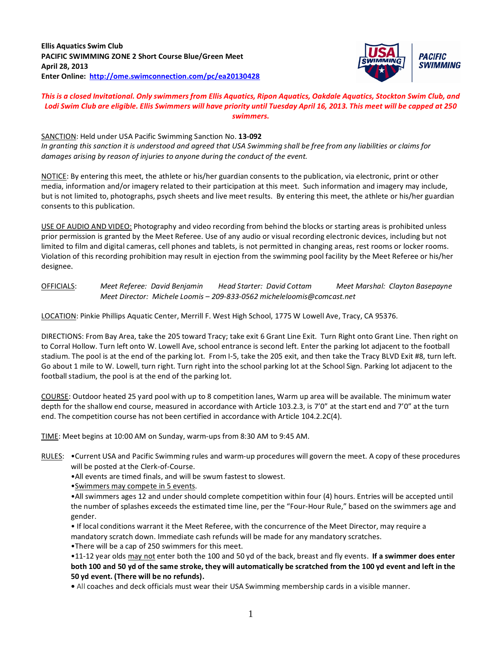**Ellis Aquatics Swim Club PACIFIC SWIMMING ZONE 2 Short Course Blue/Green Meet April 28, 2013 Enter Online:<http://ome.swimconnection.com/pc/ea20130428>**



## *This is a closed Invitational. Only swimmers from Ellis Aquatics, Ripon Aquatics, Oakdale Aquatics, Stockton Swim Club, and Lodi Swim Club are eligible. Ellis Swimmers will have priority until Tuesday April 16, 2013. This meet will be capped at 250 swimmers.*

SANCTION: Held under USA Pacific Swimming Sanction No. **13-092** *In granting this sanction it is understood and agreed that USA Swimming shall be free from any liabilities or claims for damages arising by reason of injuries to anyone during the conduct of the event.*

NOTICE: By entering this meet, the athlete or his/her guardian consents to the publication, via electronic, print or other media, information and/or imagery related to their participation at this meet. Such information and imagery may include, but is not limited to, photographs, psych sheets and live meet results. By entering this meet, the athlete or his/her guardian consents to this publication.

USE OF AUDIO AND VIDEO: Photography and video recording from behind the blocks or starting areas is prohibited unless prior permission is granted by the Meet Referee. Use of any audio or visual recording electronic devices, including but not limited to film and digital cameras, cell phones and tablets, is not permitted in changing areas, rest rooms or locker rooms. Violation of this recording prohibition may result in ejection from the swimming pool facility by the Meet Referee or his/her designee.

OFFICIALS: *Meet Referee: David Benjamin Head Starter: David Cottam Meet Marshal: Clayton Basepayne Meet Director: Michele Loomis – 209-833-0562 micheleloomis@comcast.net*

LOCATION: Pinkie Phillips Aquatic Center, Merrill F. West High School, 1775 W Lowell Ave, Tracy, CA 95376.

DIRECTIONS: From Bay Area, take the 205 toward Tracy; take exit 6 Grant Line Exit. Turn Right onto Grant Line. Then right on to Corral Hollow. Turn left onto W. Lowell Ave, school entrance is second left. Enter the parking lot adjacent to the football stadium. The pool is at the end of the parking lot. From I-5, take the 205 exit, and then take the Tracy BLVD Exit #8, turn left. Go about 1 mile to W. Lowell, turn right. Turn right into the school parking lot at the School Sign. Parking lot adjacent to the football stadium, the pool is at the end of the parking lot.

COURSE: Outdoor heated 25 yard pool with up to 8 competition lanes, Warm up area will be available. The minimum water depth for the shallow end course, measured in accordance with Article 103.2.3, is 7'0" at the start end and 7'0" at the turn end. The competition course has not been certified in accordance with Article 104.2.2C(4).

TIME: Meet begins at 10:00 AM on Sunday, warm-ups from 8:30 AM to 9:45 AM.

RULES: •Current USA and Pacific Swimming rules and warm-up procedures will govern the meet. A copy of these procedures will be posted at the Clerk-of-Course.

•All events are timed finals, and will be swum fastest to slowest.

•Swimmers may compete in 5 events.

•All swimmers ages 12 and under should complete competition within four (4) hours. Entries will be accepted until the number of splashes exceeds the estimated time line, per the "Four-Hour Rule," based on the swimmers age and gender.

• If local conditions warrant it the Meet Referee, with the concurrence of the Meet Director, may require a mandatory scratch down. Immediate cash refunds will be made for any mandatory scratches.

•There will be a cap of 250 swimmers for this meet.

•11-12 year olds may not enter both the 100 and 50 yd of the back, breast and fly events. **If a swimmer does enter both 100 and 50 yd of the same stroke, they will automatically be scratched from the 100 yd event and left in the 50 yd event. (There will be no refunds).**

**•** All coaches and deck officials must wear their USA Swimming membership cards in a visible manner.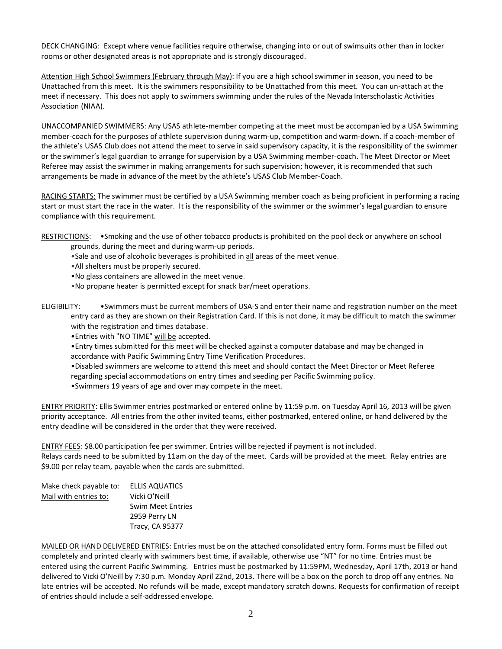DECK CHANGING: Except where venue facilities require otherwise, changing into or out of swimsuits other than in locker rooms or other designated areas is not appropriate and is strongly discouraged.

Attention High School Swimmers (February through May): If you are a high school swimmer in season, you need to be Unattached from this meet. It is the swimmers responsibility to be Unattached from this meet. You can un-attach at the meet if necessary. This does not apply to swimmers swimming under the rules of the Nevada Interscholastic Activities Association (NIAA).

UNACCOMPANIED SWIMMERS: Any USAS athlete-member competing at the meet must be accompanied by a USA Swimming member-coach for the purposes of athlete supervision during warm-up, competition and warm-down. If a coach-member of the athlete's USAS Club does not attend the meet to serve in said supervisory capacity, it is the responsibility of the swimmer or the swimmer's legal guardian to arrange for supervision by a USA Swimming member-coach. The Meet Director or Meet Referee may assist the swimmer in making arrangements for such supervision; however, it is recommended that such arrangements be made in advance of the meet by the athlete's USAS Club Member-Coach.

RACING STARTS: The swimmer must be certified by a USA Swimming member coach as being proficient in performing a racing start or must start the race in the water. It is the responsibility of the swimmer or the swimmer's legal guardian to ensure compliance with this requirement.

- RESTRICTIONS: •Smoking and the use of other tobacco products is prohibited on the pool deck or anywhere on school grounds, during the meet and during warm-up periods.
	- •Sale and use of alcoholic beverages is prohibited in all areas of the meet venue.
	- •All shelters must be properly secured.
	- •No glass containers are allowed in the meet venue.
	- •No propane heater is permitted except for snack bar/meet operations.

ELIGIBILITY: •Swimmers must be current members of USA-S and enter their name and registration number on the meet entry card as they are shown on their Registration Card. If this is not done, it may be difficult to match the swimmer with the registration and times database.

•Entries with "NO TIME" will be accepted.

- •Entry times submitted for this meet will be checked against a computer database and may be changed in accordance with Pacific Swimming Entry Time Verification Procedures.
- •Disabled swimmers are welcome to attend this meet and should contact the Meet Director or Meet Referee
- regarding special accommodations on entry times and seeding per Pacific Swimming policy.
- •Swimmers 19 years of age and over may compete in the meet.

ENTRY PRIORITY: Ellis Swimmer entries postmarked or entered online by 11:59 p.m. on Tuesday April 16, 2013 will be given priority acceptance. All entries from the other invited teams, either postmarked, entered online, or hand delivered by the entry deadline will be considered in the order that they were received.

ENTRY FEES: \$8.00 participation fee per swimmer. Entries will be rejected if payment is not included. Relays cards need to be submitted by 11am on the day of the meet. Cards will be provided at the meet. Relay entries are \$9.00 per relay team, payable when the cards are submitted.

| Make check payable to: | ELLIS AQUATICS           |
|------------------------|--------------------------|
| Mail with entries to:  | Vicki O'Neill            |
|                        | <b>Swim Meet Entries</b> |
|                        | 2959 Perry LN            |
|                        | Tracy, CA 95377          |

MAILED OR HAND DELIVERED ENTRIES: Entries must be on the attached consolidated entry form. Forms must be filled out completely and printed clearly with swimmers best time, if available, otherwise use "NT" for no time. Entries must be entered using the current Pacific Swimming. Entries must be postmarked by 11:59PM, Wednesday, April 17th, 2013 or hand delivered to Vicki O'Neill by 7:30 p.m. Monday April 22nd, 2013. There will be a box on the porch to drop off any entries. No late entries will be accepted. No refunds will be made, except mandatory scratch downs. Requests for confirmation of receipt of entries should include a self-addressed envelope.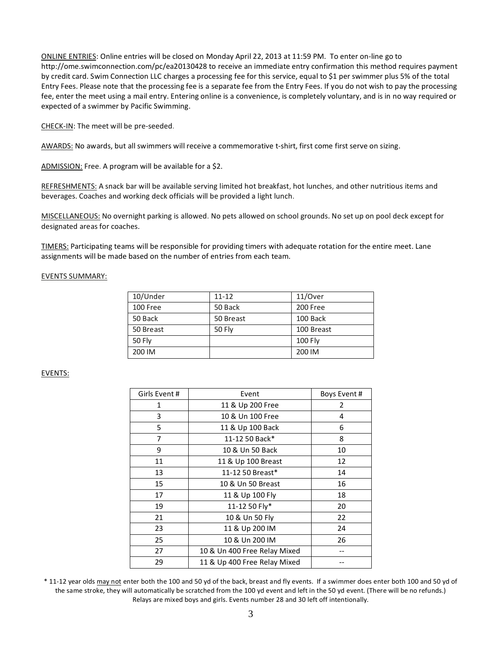ONLINE ENTRIES: Online entries will be closed on Monday April 22, 2013 at 11:59 PM. To enter on-line go to http://ome.swimconnection.com/pc/ea20130428 to receive an immediate entry confirmation this method requires payment by credit card. Swim Connection LLC charges a processing fee for this service, equal to \$1 per swimmer plus 5% of the total Entry Fees. Please note that the processing fee is a separate fee from the Entry Fees. If you do not wish to pay the processing fee, enter the meet using a mail entry. Entering online is a convenience, is completely voluntary, and is in no way required or expected of a swimmer by Pacific Swimming.

CHECK-IN: The meet will be pre-seeded.

AWARDS: No awards, but all swimmers will receive a commemorative t-shirt, first come first serve on sizing.

ADMISSION: Free. A program will be available for a \$2.

REFRESHMENTS: A snack bar will be available serving limited hot breakfast, hot lunches, and other nutritious items and beverages. Coaches and working deck officials will be provided a light lunch.

MISCELLANEOUS: No overnight parking is allowed. No pets allowed on school grounds. No set up on pool deck except for designated areas for coaches.

TIMERS: Participating teams will be responsible for providing timers with adequate rotation for the entire meet. Lane assignments will be made based on the number of entries from each team.

## EVENTS SUMMARY:

| 10/Under      | 11-12         | 11/Over        |
|---------------|---------------|----------------|
| 100 Free      | 50 Back       | 200 Free       |
| 50 Back       | 50 Breast     | 100 Back       |
| 50 Breast     | <b>50 Fly</b> | 100 Breast     |
| <b>50 Fly</b> |               | <b>100 Fly</b> |
| 200 IM        |               | 200 IM         |

## EVENTS:

| Girls Event # | Event                        | Boys Event# |
|---------------|------------------------------|-------------|
| 1             | 11 & Up 200 Free             | 2           |
| 3             | 10 & Un 100 Free             | 4           |
| 5             | 11 & Up 100 Back             | 6           |
| 7             | 11-12 50 Back*               | 8           |
| 9             | 10 & Un 50 Back              | 10          |
| 11            | 11 & Up 100 Breast           | 12          |
| 13            | 11-12 50 Breast*             | 14          |
| 15            | 10 & Un 50 Breast            | 16          |
| 17            | 11 & Up 100 Fly              | 18          |
| 19            | 11-12 50 Fly*                | 20          |
| 21            | 10 & Un 50 Fly               | 22          |
| 23            | 11 & Up 200 IM               | 24          |
| 25            | 10 & Un 200 IM               | 26          |
| 27            | 10 & Un 400 Free Relay Mixed |             |
| 29            | 11 & Up 400 Free Relay Mixed |             |

\* 11-12 year olds may not enter both the 100 and 50 yd of the back, breast and fly events. If a swimmer does enter both 100 and 50 yd of the same stroke, they will automatically be scratched from the 100 yd event and left in the 50 yd event. (There will be no refunds.) Relays are mixed boys and girls. Events number 28 and 30 left off intentionally.